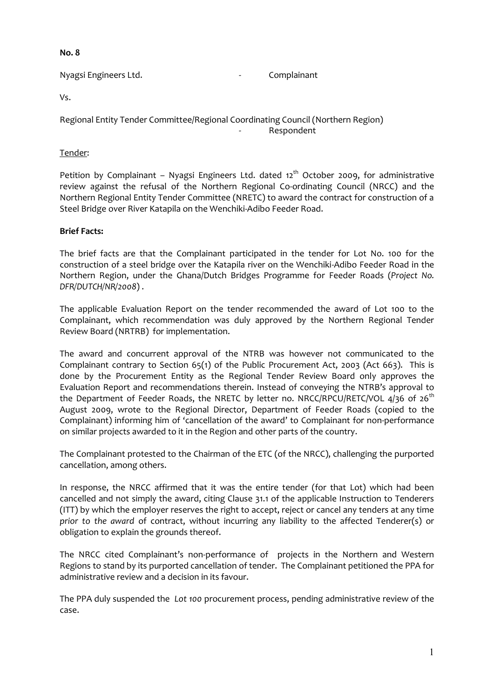#### **No. 8**

Nyagsi Engineers Ltd. **Analyzis** Complainant

Vs.

Regional Entity Tender Committee/Regional Coordinating Council (Northern Region) **Respondent** 

#### Tender:

Petition by Complainant - Nyagsi Engineers Ltd. dated 12<sup>th</sup> October 2009, for administrative review against the refusal of the Northern Regional Co-ordinating Council (NRCC) and the Northern Regional Entity Tender Committee (NRETC) to award the contract for construction of a Steel Bridge over River Katapila on the Wenchiki-Adibo Feeder Road.

## **Brief Facts:**

The brief facts are that the Complainant participated in the tender for Lot No. 100 for the construction of a steel bridge over the Katapila river on the Wenchiki-Adibo Feeder Road in the Northern Region, under the Ghana/Dutch Bridges Programme for Feeder Roads (*Project No. DFR/DUTCH/NR/2008*) .

The applicable Evaluation Report on the tender recommended the award of Lot 100 to the Complainant, which recommendation was duly approved by the Northern Regional Tender Review Board (NRTRB) for implementation.

The award and concurrent approval of the NTRB was however not communicated to the Complainant contrary to Section 65(1) of the Public Procurement Act, 2003 (Act 663). This is done by the Procurement Entity as the Regional Tender Review Board only approves the Evaluation Report and recommendations therein. Instead of conveying the NTRB's approval to the Department of Feeder Roads, the NRETC by letter no. NRCC/RPCU/RETC/VOL  $4/36$  of  $26<sup>th</sup>$ August 2009, wrote to the Regional Director, Department of Feeder Roads (copied to the Complainant) informing him of 'cancellation of the award' to Complainant for non-performance on similar projects awarded to it in the Region and other parts of the country.

The Complainant protested to the Chairman of the ETC (of the NRCC), challenging the purported cancellation, among others.

In response, the NRCC affirmed that it was the entire tender (for that Lot) which had been cancelled and not simply the award, citing Clause 31.1 of the applicable Instruction to Tenderers (ITT) by which the employer reserves the right to accept, reject or cancel any tenders at any time *prior to the award* of contract, without incurring any liability to the affected Tenderer(s) or obligation to explain the grounds thereof.

The NRCC cited Complainant's non-performance of projects in the Northern and Western Regions to stand by its purported cancellation of tender. The Complainant petitioned the PPA for administrative review and a decision in its favour.

The PPA duly suspended the *Lot 100* procurement process, pending administrative review of the case.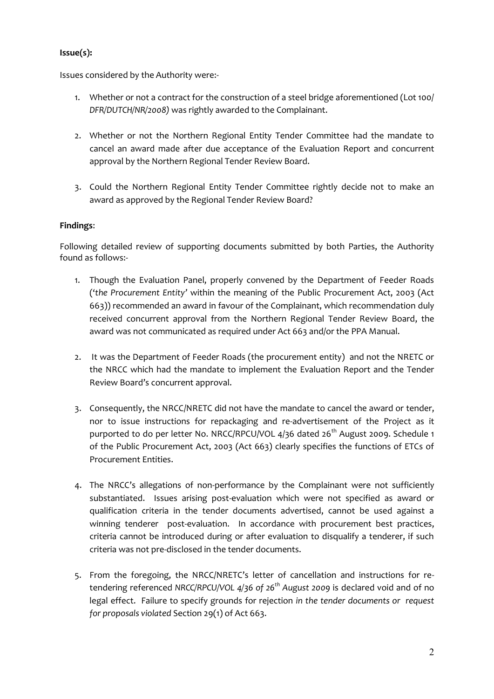# **Issue(s):**

Issues considered by the Authority were:-

- 1. Whether or not a contract for the construction of a steel bridge aforementioned (Lot 100/ *DFR/DUTCH/NR/2008)* was rightly awarded to the Complainant.
- 2. Whether or not the Northern Regional Entity Tender Committee had the mandate to cancel an award made after due acceptance of the Evaluation Report and concurrent approval by the Northern Regional Tender Review Board.
- 3. Could the Northern Regional Entity Tender Committee rightly decide not to make an award as approved by the Regional Tender Review Board?

## **Findings**:

Following detailed review of supporting documents submitted by both Parties, the Authority found as follows:-

- 1. Though the Evaluation Panel, properly convened by the Department of Feeder Roads ('*the Procurement Entity'* within the meaning of the Public Procurement Act, 2003 (Act 663)) recommended an award in favour of the Complainant, which recommendation duly received concurrent approval from the Northern Regional Tender Review Board, the award was not communicated as required under Act 663 and/or the PPA Manual.
- 2. It was the Department of Feeder Roads (the procurement entity) and not the NRETC or the NRCC which had the mandate to implement the Evaluation Report and the Tender Review Board's concurrent approval.
- 3. Consequently, the NRCC/NRETC did not have the mandate to cancel the award or tender, nor to issue instructions for repackaging and re-advertisement of the Project as it purported to do per letter No. NRCC/RPCU/VOL 4/36 dated 26<sup>th</sup> August 2009. Schedule 1 of the Public Procurement Act, 2003 (Act 663) clearly specifies the functions of ETCs of Procurement Entities.
- 4. The NRCC's allegations of non-performance by the Complainant were not sufficiently substantiated. Issues arising post-evaluation which were not specified as award or qualification criteria in the tender documents advertised, cannot be used against a winning tenderer post-evaluation. In accordance with procurement best practices, criteria cannot be introduced during or after evaluation to disqualify a tenderer, if such criteria was not pre-disclosed in the tender documents.
- 5. From the foregoing, the NRCC/NRETC's letter of cancellation and instructions for retendering referenced *NRCC/RPCU/VOL 4/36 of 26th August 2009* is declared void and of no legal effect. Failure to specify grounds for rejection *in the tender documents or request for proposals violated* Section 29(1) of Act 663.